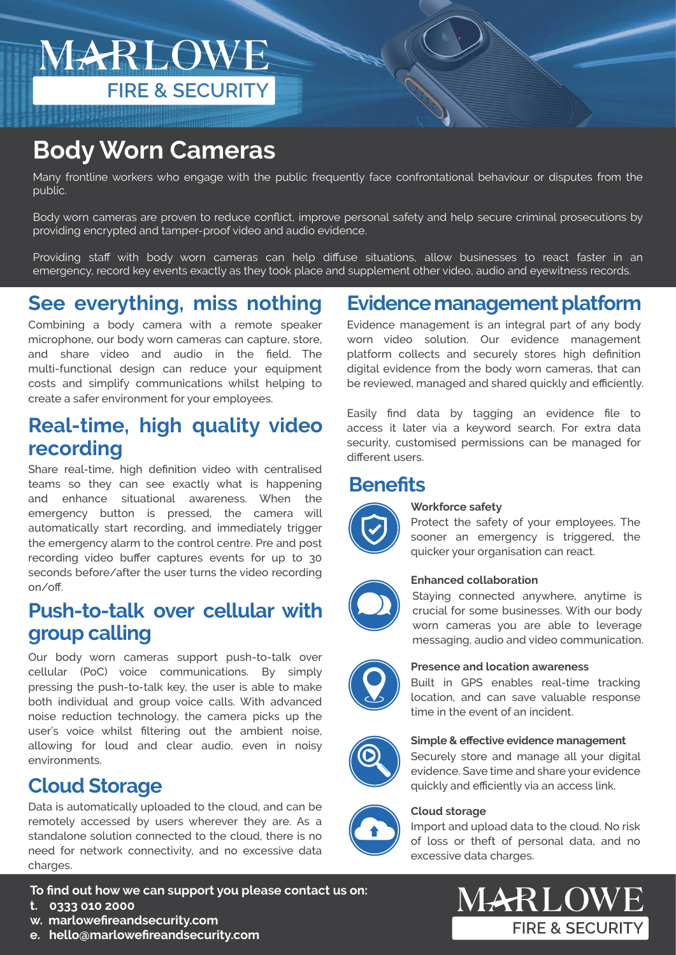MARLOWE **FIRE & SECURITY** 

# **Body Worn Cameras**

Many frontline workers who engage with the public frequently face confrontational behaviour or disputes from the public.

Body worn cameras are proven to reduce conflict, improve personal safety and help secure criminal prosecutions by providing encrypted and tamper-proof video and audio evidence.

Providing staff with body worn cameras can help diffuse situations, allow businesses to react faster in an emergency, record key events exactly as they took place and supplement other video, audio and eyewitness records.

### **See everything, miss nothing**

Combining a body camera with a remote speaker microphone, our body worn cameras can capture, store, and share video and audio in the field. The multi-functional design can reduce your equipment costs and simplify communications whilst helping to create a safer environment for your employees.

### **Real-time, high quality video recording**

Share real-time, high definition video with centralised teams so they can see exactly what is happening and enhance situational awareness. When the emergency button is pressed, the camera will automatically start recording, and immediately trigger the emergency alarm to the control centre. Pre and post recording video buffer captures events for up to 30 seconds before/after the user turns the video recording on/off.

### **Push-to-talk over cellular with group calling**

Our body worn cameras support push-to-talk over cellular (PoC) voice communications. By simply pressing the push-to-talk key, the user is able to make both individual and group voice calls. With advanced noise reduction technology, the camera picks up the user's voice whilst filtering out the ambient noise, allowing for loud and clear audio, even in noisy environments.

### **Cloud Storage**

Data is automatically uploaded to the cloud, and can be remotely accessed by users wherever they are. As a standalone solution connected to the cloud, there is no need for network connectivity, and no excessive data charges.

**To find out how we can support you please contact us on:**

- **t. 0333 010 2000**
- **w. marlowefireandsecurity.com**
- **e. hello@marlowefireandsecurity.com**

### **Evidence management platform**

Evidence management is an integral part of any body worn video solution. Our evidence management platform collects and securely stores high definition digital evidence from the body worn cameras, that can be reviewed, managed and shared quickly and efficiently.

Easily find data by tagging an evidence file to access it later via a keyword search. For extra data security, customised permissions can be managed for different users.

### **Benefits**



#### **Workforce safety**

**Cloud storage** 

Protect the safety of your employees. The sooner an emergency is triggered, the quicker your organisation can react.



#### **Enhanced collaboration**

Staying connected anywhere, anytime is crucial for some businesses. With our body worn cameras you are able to leverage messaging, audio and video communication.



#### **Presence and location awareness**

Built in GPS enables real-time tracking location, and can save valuable response time in the event of an incident.



#### **Simple & effective evidence management**

Securely store and manage all your digital evidence. Save time and share your evidence quickly and efficiently via an access link.



#### Import and upload data to the cloud. No risk of loss or theft of personal data, and no excessive data charges.